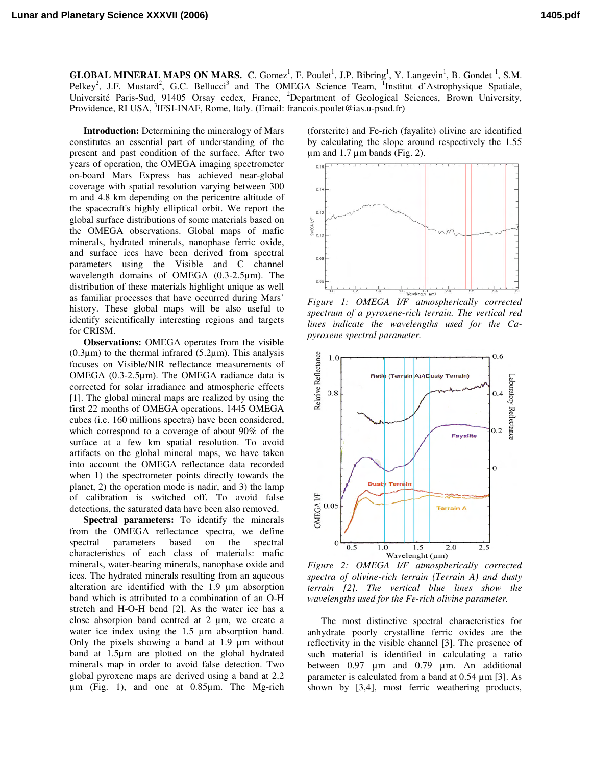**GLOBAL MINERAL MAPS ON MARS.** C. Gomez<sup>1</sup>, F. Poulet<sup>1</sup>, J.P. Bibring<sup>1</sup>, Y. Langevin<sup>1</sup>, B. Gondet<sup>1</sup>, S.M. Pelkey<sup>2</sup>, J.F. Mustard<sup>2</sup>, G.C. Bellucci<sup>3</sup> and The OMEGA Science Team, <sup>1</sup>Institut d'Astrophysique Spatiale, Université Paris-Sud, 91405 Orsay cedex, France, <sup>2</sup>Department of Geological Sciences, Brown University, Providence, RI USA, <sup>3</sup>IFSI-INAF, Rome, Italy. (Email: francois.poulet@ias.u-psud.fr)

**Introduction:** Determining the mineralogy of Mars constitutes an essential part of understanding of the present and past condition of the surface. After two years of operation, the OMEGA imaging spectrometer on-board Mars Express has achieved near-global coverage with spatial resolution varying between 300 m and 4.8 km depending on the pericentre altitude of the spacecraft's highly elliptical orbit. We report the global surface distributions of some materials based on the OMEGA observations. Global maps of mafic minerals, hydrated minerals, nanophase ferric oxide, and surface ices have been derived from spectral parameters using the Visible and C channel wavelength domains of OMEGA (0.3-2.5µm). The distribution of these materials highlight unique as well as familiar processes that have occurred during Mars' history. These global maps will be also useful to identify scientifically interesting regions and targets for CRISM.

**Observations:** OMEGA operates from the visible  $(0.3\mu m)$  to the thermal infrared  $(5.2\mu m)$ . This analysis focuses on Visible/NIR reflectance measurements of OMEGA (0.3-2.5µm). The OMEGA radiance data is corrected for solar irradiance and atmospheric effects [1]. The global mineral maps are realized by using the first 22 months of OMEGA operations. 1445 OMEGA cubes (i.e. 160 millions spectra) have been considered, which correspond to a coverage of about 90% of the surface at a few km spatial resolution. To avoid artifacts on the global mineral maps, we have taken into account the OMEGA reflectance data recorded when 1) the spectrometer points directly towards the planet, 2) the operation mode is nadir, and 3) the lamp of calibration is switched off. To avoid false detections, the saturated data have been also removed.

**Spectral parameters:** To identify the minerals from the OMEGA reflectance spectra, we define spectral parameters based on the spectral characteristics of each class of materials: mafic minerals, water-bearing minerals, nanophase oxide and ices. The hydrated minerals resulting from an aqueous alteration are identified with the 1.9 µm absorption band which is attributed to a combination of an O-H stretch and H-O-H bend [2]. As the water ice has a close absorpion band centred at 2 µm, we create a water ice index using the 1.5  $\mu$ m absorption band. Only the pixels showing a band at 1.9 µm without band at 1.5µm are plotted on the global hydrated minerals map in order to avoid false detection. Two global pyroxene maps are derived using a band at 2.2 µm (Fig. 1), and one at 0.85µm. The Mg-rich

(forsterite) and Fe-rich (fayalite) olivine are identified by calculating the slope around respectively the 1.55  $\mu$ m and 1.7  $\mu$ m bands (Fig. 2).



*Figure 1: OMEGA I/F atmospherically corrected spectrum of a pyroxene-rich terrain. The vertical red lines indicate the wavelengths used for the Capyroxene spectral parameter.*



*Figure 2: OMEGA I/F atmospherically corrected spectra of olivine-rich terrain (Terrain A) and dusty terrain [2]. The vertical blue lines show the wavelengths used for the Fe-rich olivine parameter.*

The most distinctive spectral characteristics for anhydrate poorly crystalline ferric oxides are the reflectivity in the visible channel [3]. The presence of such material is identified in calculating a ratio between 0.97 µm and 0.79 µm. An additional parameter is calculated from a band at  $0.54 \mu m$  [3]. As shown by [3,4], most ferric weathering products,